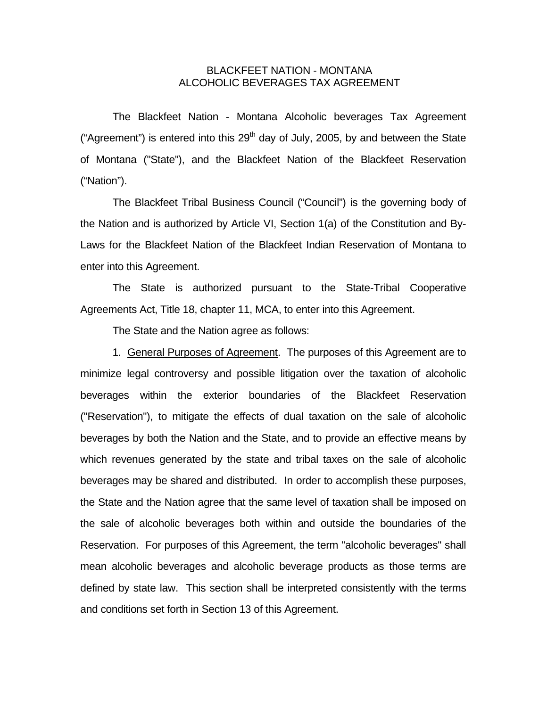## BLACKFEET NATION - MONTANA ALCOHOLIC BEVERAGES TAX AGREEMENT

 The Blackfeet Nation - Montana Alcoholic beverages Tax Agreement ("Agreement") is entered into this  $29<sup>th</sup>$  day of July, 2005, by and between the State of Montana ("State"), and the Blackfeet Nation of the Blackfeet Reservation ("Nation").

 The Blackfeet Tribal Business Council ("Council") is the governing body of the Nation and is authorized by Article VI, Section 1(a) of the Constitution and By-Laws for the Blackfeet Nation of the Blackfeet Indian Reservation of Montana to enter into this Agreement.

 The State is authorized pursuant to the State-Tribal Cooperative Agreements Act, Title 18, chapter 11, MCA, to enter into this Agreement.

The State and the Nation agree as follows:

 1. General Purposes of Agreement. The purposes of this Agreement are to minimize legal controversy and possible litigation over the taxation of alcoholic beverages within the exterior boundaries of the Blackfeet Reservation ("Reservation"), to mitigate the effects of dual taxation on the sale of alcoholic beverages by both the Nation and the State, and to provide an effective means by which revenues generated by the state and tribal taxes on the sale of alcoholic beverages may be shared and distributed. In order to accomplish these purposes, the State and the Nation agree that the same level of taxation shall be imposed on the sale of alcoholic beverages both within and outside the boundaries of the Reservation. For purposes of this Agreement, the term "alcoholic beverages" shall mean alcoholic beverages and alcoholic beverage products as those terms are defined by state law. This section shall be interpreted consistently with the terms and conditions set forth in Section 13 of this Agreement.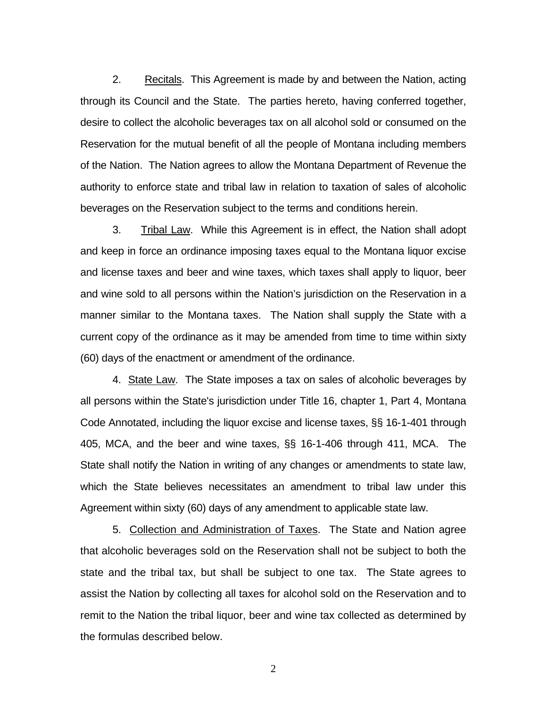2. Recitals. This Agreement is made by and between the Nation, acting through its Council and the State. The parties hereto, having conferred together, desire to collect the alcoholic beverages tax on all alcohol sold or consumed on the Reservation for the mutual benefit of all the people of Montana including members of the Nation. The Nation agrees to allow the Montana Department of Revenue the authority to enforce state and tribal law in relation to taxation of sales of alcoholic beverages on the Reservation subject to the terms and conditions herein.

 3. Tribal Law. While this Agreement is in effect, the Nation shall adopt and keep in force an ordinance imposing taxes equal to the Montana liquor excise and license taxes and beer and wine taxes, which taxes shall apply to liquor, beer and wine sold to all persons within the Nation's jurisdiction on the Reservation in a manner similar to the Montana taxes. The Nation shall supply the State with a current copy of the ordinance as it may be amended from time to time within sixty (60) days of the enactment or amendment of the ordinance.

 4. State Law. The State imposes a tax on sales of alcoholic beverages by all persons within the State's jurisdiction under Title 16, chapter 1, Part 4, Montana Code Annotated, including the liquor excise and license taxes, §§ 16-1-401 through 405, MCA, and the beer and wine taxes, §§ 16-1-406 through 411, MCA. The State shall notify the Nation in writing of any changes or amendments to state law, which the State believes necessitates an amendment to tribal law under this Agreement within sixty (60) days of any amendment to applicable state law.

 5. Collection and Administration of Taxes. The State and Nation agree that alcoholic beverages sold on the Reservation shall not be subject to both the state and the tribal tax, but shall be subject to one tax. The State agrees to assist the Nation by collecting all taxes for alcohol sold on the Reservation and to remit to the Nation the tribal liquor, beer and wine tax collected as determined by the formulas described below.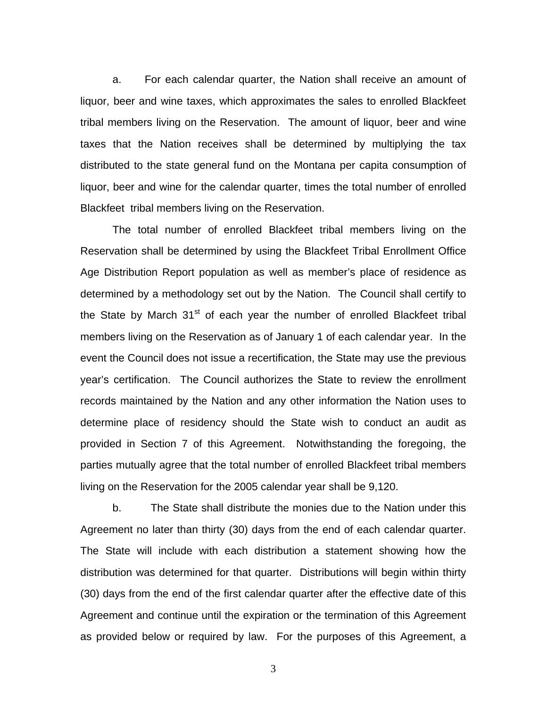a. For each calendar quarter, the Nation shall receive an amount of liquor, beer and wine taxes, which approximates the sales to enrolled Blackfeet tribal members living on the Reservation. The amount of liquor, beer and wine taxes that the Nation receives shall be determined by multiplying the tax distributed to the state general fund on the Montana per capita consumption of liquor, beer and wine for the calendar quarter, times the total number of enrolled Blackfeet tribal members living on the Reservation.

The total number of enrolled Blackfeet tribal members living on the Reservation shall be determined by using the Blackfeet Tribal Enrollment Office Age Distribution Report population as well as member's place of residence as determined by a methodology set out by the Nation. The Council shall certify to the State by March  $31<sup>st</sup>$  of each year the number of enrolled Blackfeet tribal members living on the Reservation as of January 1 of each calendar year. In the event the Council does not issue a recertification, the State may use the previous year's certification. The Council authorizes the State to review the enrollment records maintained by the Nation and any other information the Nation uses to determine place of residency should the State wish to conduct an audit as provided in Section 7 of this Agreement. Notwithstanding the foregoing, the parties mutually agree that the total number of enrolled Blackfeet tribal members living on the Reservation for the 2005 calendar year shall be 9,120.

 b. The State shall distribute the monies due to the Nation under this Agreement no later than thirty (30) days from the end of each calendar quarter. The State will include with each distribution a statement showing how the distribution was determined for that quarter. Distributions will begin within thirty (30) days from the end of the first calendar quarter after the effective date of this Agreement and continue until the expiration or the termination of this Agreement as provided below or required by law. For the purposes of this Agreement, a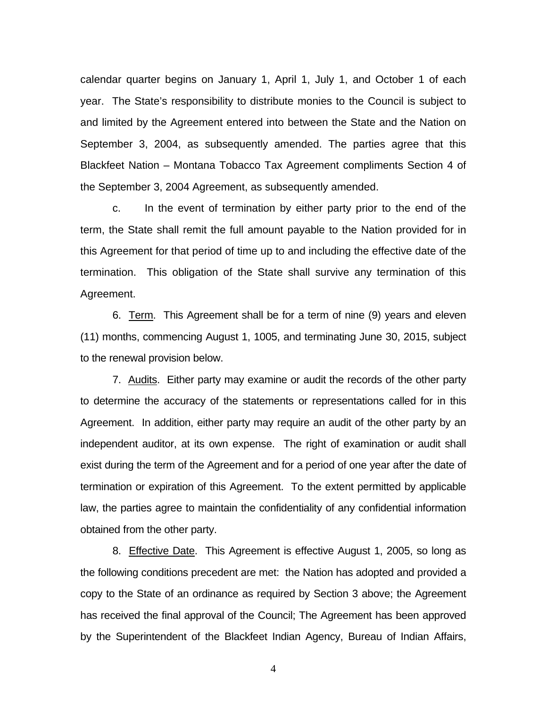calendar quarter begins on January 1, April 1, July 1, and October 1 of each year. The State's responsibility to distribute monies to the Council is subject to and limited by the Agreement entered into between the State and the Nation on September 3, 2004, as subsequently amended. The parties agree that this Blackfeet Nation – Montana Tobacco Tax Agreement compliments Section 4 of the September 3, 2004 Agreement, as subsequently amended.

 c. In the event of termination by either party prior to the end of the term, the State shall remit the full amount payable to the Nation provided for in this Agreement for that period of time up to and including the effective date of the termination. This obligation of the State shall survive any termination of this Agreement.

 6. Term. This Agreement shall be for a term of nine (9) years and eleven (11) months, commencing August 1, 1005, and terminating June 30, 2015, subject to the renewal provision below.

 7. Audits. Either party may examine or audit the records of the other party to determine the accuracy of the statements or representations called for in this Agreement. In addition, either party may require an audit of the other party by an independent auditor, at its own expense. The right of examination or audit shall exist during the term of the Agreement and for a period of one year after the date of termination or expiration of this Agreement. To the extent permitted by applicable law, the parties agree to maintain the confidentiality of any confidential information obtained from the other party.

 8. Effective Date. This Agreement is effective August 1, 2005, so long as the following conditions precedent are met: the Nation has adopted and provided a copy to the State of an ordinance as required by Section 3 above; the Agreement has received the final approval of the Council; The Agreement has been approved by the Superintendent of the Blackfeet Indian Agency, Bureau of Indian Affairs,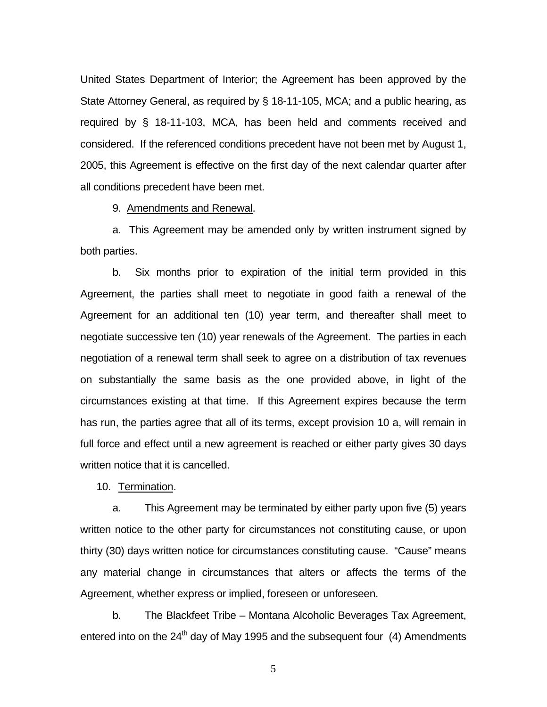United States Department of Interior; the Agreement has been approved by the State Attorney General, as required by § 18-11-105, MCA; and a public hearing, as required by § 18-11-103, MCA, has been held and comments received and considered. If the referenced conditions precedent have not been met by August 1, 2005, this Agreement is effective on the first day of the next calendar quarter after all conditions precedent have been met.

9. Amendments and Renewal.

 a. This Agreement may be amended only by written instrument signed by both parties.

 b. Six months prior to expiration of the initial term provided in this Agreement, the parties shall meet to negotiate in good faith a renewal of the Agreement for an additional ten (10) year term, and thereafter shall meet to negotiate successive ten (10) year renewals of the Agreement. The parties in each negotiation of a renewal term shall seek to agree on a distribution of tax revenues on substantially the same basis as the one provided above, in light of the circumstances existing at that time. If this Agreement expires because the term has run, the parties agree that all of its terms, except provision 10 a, will remain in full force and effect until a new agreement is reached or either party gives 30 days written notice that it is cancelled.

10. Termination.

 a. This Agreement may be terminated by either party upon five (5) years written notice to the other party for circumstances not constituting cause, or upon thirty (30) days written notice for circumstances constituting cause. "Cause" means any material change in circumstances that alters or affects the terms of the Agreement, whether express or implied, foreseen or unforeseen.

 b. The Blackfeet Tribe – Montana Alcoholic Beverages Tax Agreement, entered into on the  $24<sup>th</sup>$  day of May 1995 and the subsequent four (4) Amendments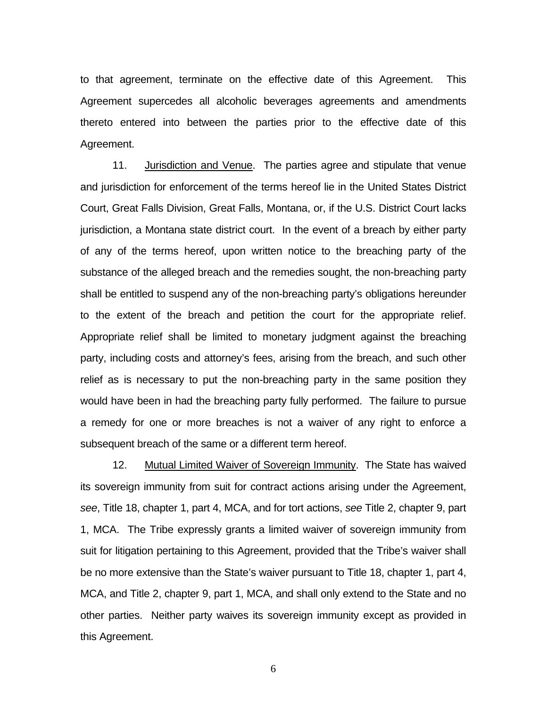to that agreement, terminate on the effective date of this Agreement. This Agreement supercedes all alcoholic beverages agreements and amendments thereto entered into between the parties prior to the effective date of this Agreement.

 11. Jurisdiction and Venue. The parties agree and stipulate that venue and jurisdiction for enforcement of the terms hereof lie in the United States District Court, Great Falls Division, Great Falls, Montana, or, if the U.S. District Court lacks jurisdiction, a Montana state district court. In the event of a breach by either party of any of the terms hereof, upon written notice to the breaching party of the substance of the alleged breach and the remedies sought, the non-breaching party shall be entitled to suspend any of the non-breaching party's obligations hereunder to the extent of the breach and petition the court for the appropriate relief. Appropriate relief shall be limited to monetary judgment against the breaching party, including costs and attorney's fees, arising from the breach, and such other relief as is necessary to put the non-breaching party in the same position they would have been in had the breaching party fully performed. The failure to pursue a remedy for one or more breaches is not a waiver of any right to enforce a subsequent breach of the same or a different term hereof.

 12. Mutual Limited Waiver of Sovereign Immunity. The State has waived its sovereign immunity from suit for contract actions arising under the Agreement, *see*, Title 18, chapter 1, part 4, MCA, and for tort actions, *see* Title 2, chapter 9, part 1, MCA. The Tribe expressly grants a limited waiver of sovereign immunity from suit for litigation pertaining to this Agreement, provided that the Tribe's waiver shall be no more extensive than the State's waiver pursuant to Title 18, chapter 1, part 4, MCA, and Title 2, chapter 9, part 1, MCA, and shall only extend to the State and no other parties. Neither party waives its sovereign immunity except as provided in this Agreement.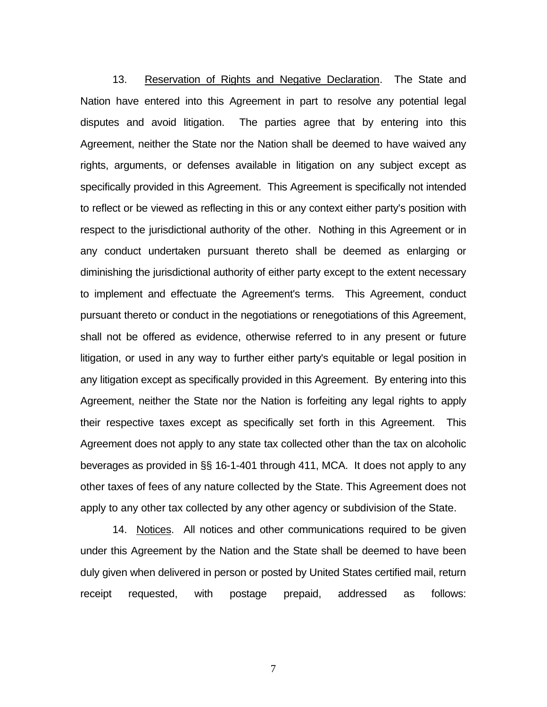13. Reservation of Rights and Negative Declaration. The State and Nation have entered into this Agreement in part to resolve any potential legal disputes and avoid litigation. The parties agree that by entering into this Agreement, neither the State nor the Nation shall be deemed to have waived any rights, arguments, or defenses available in litigation on any subject except as specifically provided in this Agreement. This Agreement is specifically not intended to reflect or be viewed as reflecting in this or any context either party's position with respect to the jurisdictional authority of the other. Nothing in this Agreement or in any conduct undertaken pursuant thereto shall be deemed as enlarging or diminishing the jurisdictional authority of either party except to the extent necessary to implement and effectuate the Agreement's terms. This Agreement, conduct pursuant thereto or conduct in the negotiations or renegotiations of this Agreement, shall not be offered as evidence, otherwise referred to in any present or future litigation, or used in any way to further either party's equitable or legal position in any litigation except as specifically provided in this Agreement. By entering into this Agreement, neither the State nor the Nation is forfeiting any legal rights to apply their respective taxes except as specifically set forth in this Agreement. This Agreement does not apply to any state tax collected other than the tax on alcoholic beverages as provided in §§ 16-1-401 through 411, MCA. It does not apply to any other taxes of fees of any nature collected by the State. This Agreement does not apply to any other tax collected by any other agency or subdivision of the State.

 14. Notices. All notices and other communications required to be given under this Agreement by the Nation and the State shall be deemed to have been duly given when delivered in person or posted by United States certified mail, return receipt requested, with postage prepaid, addressed as follows: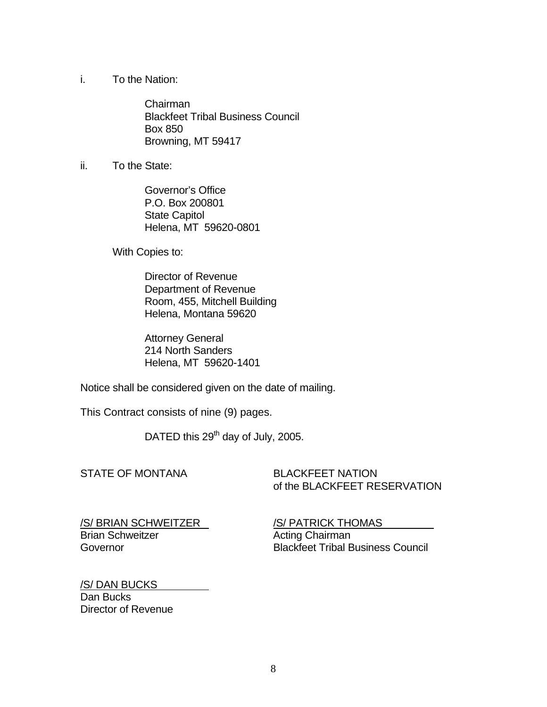i. To the Nation:

 Chairman Blackfeet Tribal Business Council Box 850 Browning, MT 59417

ii. To the State:

 Governor's Office P.O. Box 200801 State Capitol Helena, MT 59620-0801

With Copies to:

 Director of Revenue Department of Revenue Room, 455, Mitchell Building Helena, Montana 59620

 Attorney General 214 North Sanders Helena, MT 59620-1401

Notice shall be considered given on the date of mailing.

This Contract consists of nine (9) pages.

DATED this 29<sup>th</sup> day of July, 2005.

## STATE OF MONTANA BLACKFEET NATION

of the BLACKFEET RESERVATION

/S/ BRIAN SCHWEITZER /S/ PATRICK THOMAS Brian Schweitzer **Acting Chairman** 

Governor Blackfeet Tribal Business Council

/S/ DAN BUCKS Dan Bucks Director of Revenue